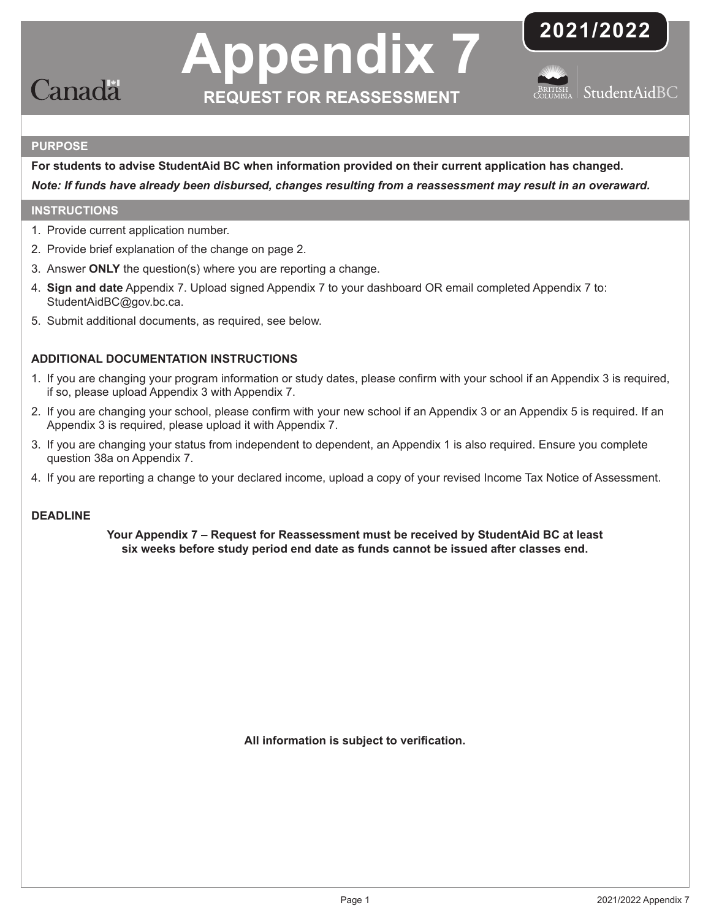

# **Appendix 7 REQUEST FOR REASSESSMENT**





## **PURPOSE**

**For students to advise StudentAid BC when information provided on their current application has changed.**  *Note: If funds have already been disbursed, changes resulting from a reassessment may result in an overaward.*

# **INSTRUCTIONS**

- 1. Provide current application number.
- 2. Provide brief explanation of the change on page 2.
- 3. Answer **ONLY** the question(s) where you are reporting a change.
- 4. **Sign and date** Appendix 7. Upload signed Appendix 7 to your dashboard OR email completed Appendix 7 to: StudentAidBC@gov.bc.ca.
- 5. Submit additional documents, as required, see below.

# **ADDITIONAL DOCUMENTATION INSTRUCTIONS**

- 1. If you are changing your program information or study dates, please confirm with your school if an [Appendix 3](https://studentaidbc.ca/sites/all/files/form-library/appendix_3.pdf) is required, if so, please upload Appendix 3 with [Appendix 7.](https://studentaidbc.ca/sites/all/files/form-library/appendix_7.pdf)
- 2. If you are changing your school, please confirm with your new school if an Appendix 3 or an [Appendix 5](https://studentaidbc.ca/sites/all/files/form-library/appendix_5.pdf) is required. If an Appendix 3 is required, please upload it with Appendix 7.
- 3. If you are changing your status from independent to dependent, an Appendix 1 is also required. Ensure you complete question 38a on Appendix 7.
- 4. If you are reporting a change to your declared income, upload a copy of your revised Income Tax Notice of Assessment.

## **DEADLINE**

**Your Appendix 7 – Request for Reassessment must be received by StudentAid BC at least six weeks before study period end date as funds cannot be issued after classes end.**

**All information is subject to verification.**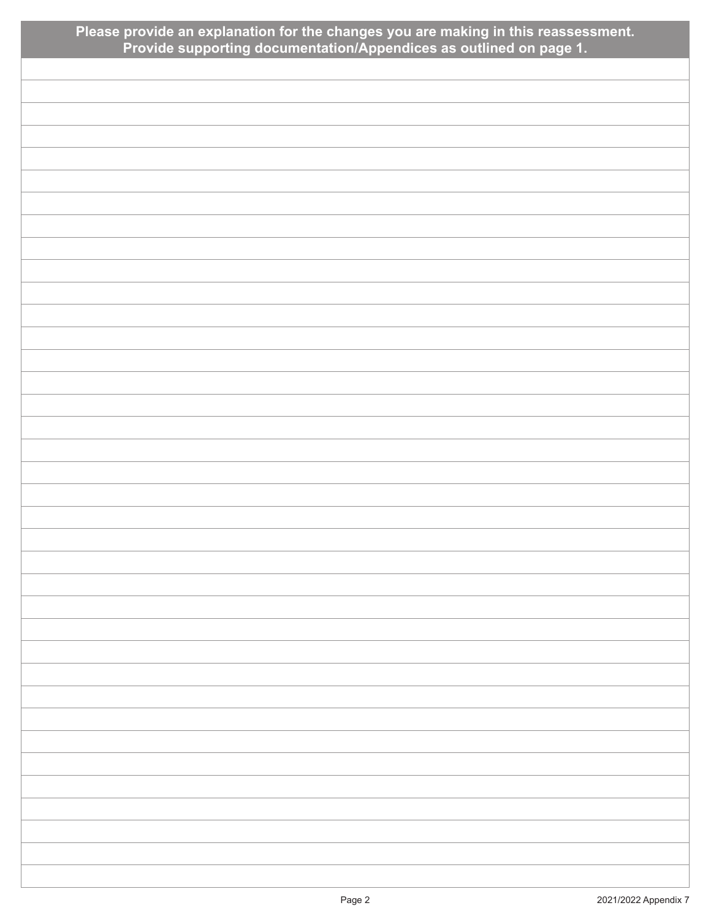| Please provide an explanation for the changes you are making in this reassessment.<br>Provide supporting documentation/Appendices as outlined on page 1. |
|----------------------------------------------------------------------------------------------------------------------------------------------------------|
|                                                                                                                                                          |
|                                                                                                                                                          |
|                                                                                                                                                          |
|                                                                                                                                                          |
|                                                                                                                                                          |
|                                                                                                                                                          |
|                                                                                                                                                          |
|                                                                                                                                                          |
|                                                                                                                                                          |
|                                                                                                                                                          |
|                                                                                                                                                          |
|                                                                                                                                                          |
|                                                                                                                                                          |
|                                                                                                                                                          |
|                                                                                                                                                          |
|                                                                                                                                                          |
|                                                                                                                                                          |
|                                                                                                                                                          |
|                                                                                                                                                          |
|                                                                                                                                                          |
|                                                                                                                                                          |
|                                                                                                                                                          |
|                                                                                                                                                          |
|                                                                                                                                                          |
|                                                                                                                                                          |
|                                                                                                                                                          |
|                                                                                                                                                          |
|                                                                                                                                                          |
|                                                                                                                                                          |
|                                                                                                                                                          |
|                                                                                                                                                          |
|                                                                                                                                                          |
|                                                                                                                                                          |
|                                                                                                                                                          |
|                                                                                                                                                          |
|                                                                                                                                                          |
|                                                                                                                                                          |
|                                                                                                                                                          |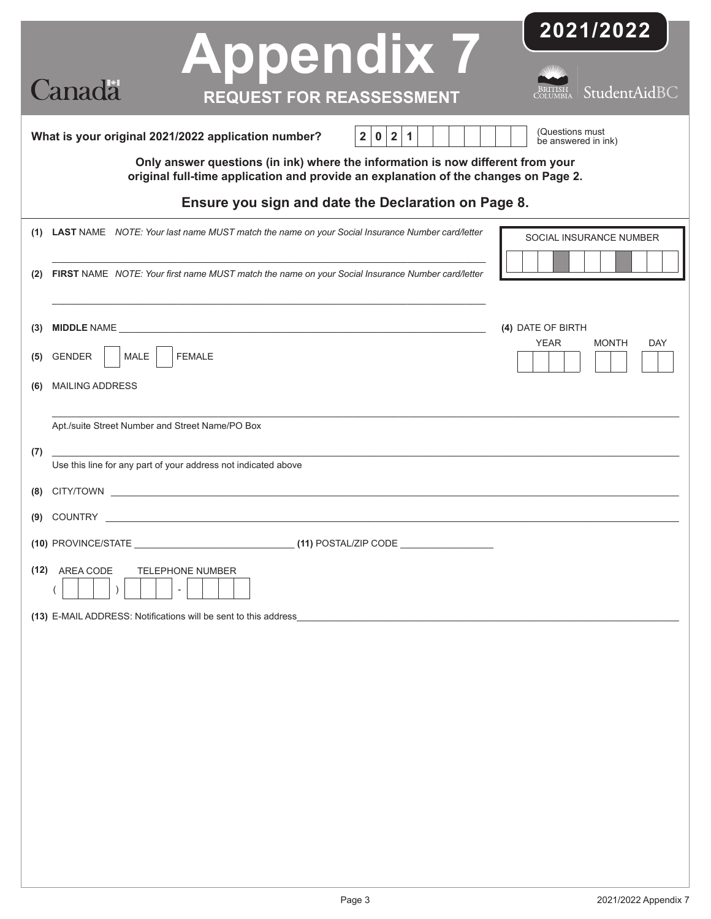| <b>Appendix 7</b><br><b>Canada</b><br><b>REQUEST FOR REASSESSMENT</b>                                                                                                  | 2021/2022<br>StudentAidBC                                      |
|------------------------------------------------------------------------------------------------------------------------------------------------------------------------|----------------------------------------------------------------|
| 2 1<br>2 <br>$\mathbf 0$<br>What is your original 2021/2022 application number?                                                                                        | (Questions must<br>be answered in ink)                         |
| Only answer questions (in ink) where the information is now different from your<br>original full-time application and provide an explanation of the changes on Page 2. |                                                                |
| Ensure you sign and date the Declaration on Page 8.                                                                                                                    |                                                                |
| (1) LAST NAME NOTE: Your last name MUST match the name on your Social Insurance Number card/letter                                                                     | SOCIAL INSURANCE NUMBER                                        |
| FIRST NAME NOTE: Your first name MUST match the name on your Social Insurance Number card/letter<br>(2)                                                                |                                                                |
| (3)<br>MALE  <br><b>FEMALE</b><br><b>GENDER</b><br>(5)<br><b>MAILING ADDRESS</b><br>(6)                                                                                | (4) DATE OF BIRTH<br><b>YEAR</b><br><b>MONTH</b><br><b>DAY</b> |
| Apt./suite Street Number and Street Name/PO Box<br>(7)<br>Use this line for any part of your address not indicated above                                               |                                                                |
| (9)                                                                                                                                                                    |                                                                |
| (10) PROVINCE/STATE                                                                                                                                                    |                                                                |
| (12) AREA CODE<br><b>TELEPHONE NUMBER</b><br>(13) E-MAIL ADDRESS: Notifications will be sent to this address                                                           |                                                                |
|                                                                                                                                                                        |                                                                |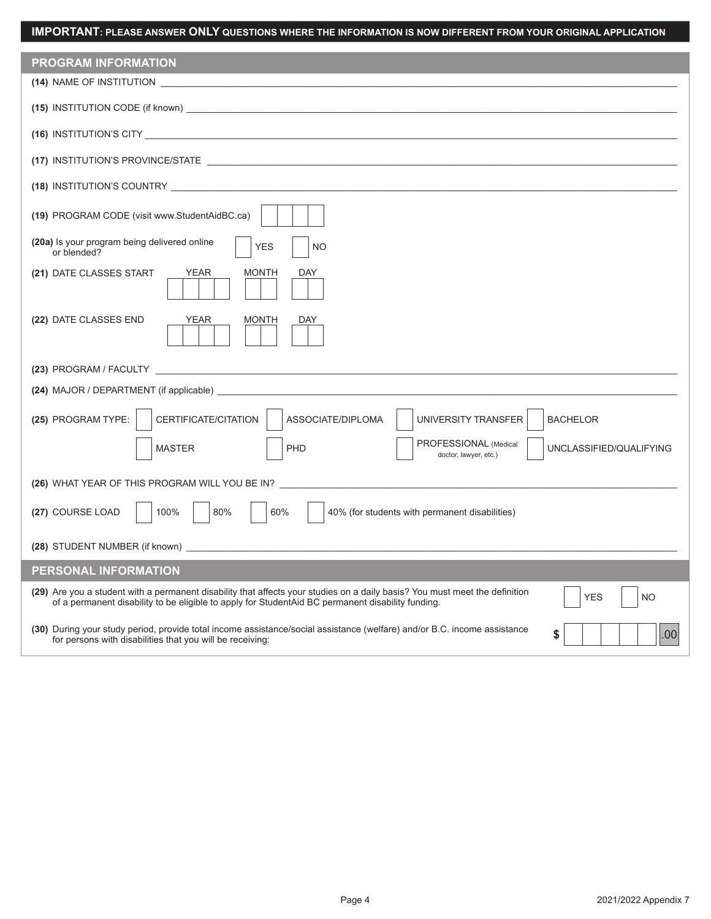| <b>PROGRAM INFORMATION</b>                                                                                                                                                                                                                                  |
|-------------------------------------------------------------------------------------------------------------------------------------------------------------------------------------------------------------------------------------------------------------|
| (14) NAME OF INSTITUTION <b>And All Annual Activity</b> and the series of the series of the series of the series of the                                                                                                                                     |
|                                                                                                                                                                                                                                                             |
|                                                                                                                                                                                                                                                             |
|                                                                                                                                                                                                                                                             |
| (18) INSTITUTION'S COUNTRY <b>And All Contract Country (18)</b> INSTITUTION'S COUNTRY                                                                                                                                                                       |
| (19) PROGRAM CODE (visit www.StudentAidBC.ca)                                                                                                                                                                                                               |
| (20a) Is your program being delivered online<br><b>YES</b><br><b>NO</b><br>or blended?                                                                                                                                                                      |
| (21) DATE CLASSES START<br><b>YEAR</b><br>MONTH<br>DAY                                                                                                                                                                                                      |
| <b>YEAR</b><br>(22) DATE CLASSES END<br>MONTH<br>DAY                                                                                                                                                                                                        |
|                                                                                                                                                                                                                                                             |
| (24) MAJOR / DEPARTMENT (if applicable)                                                                                                                                                                                                                     |
| (25) PROGRAM TYPE:<br>CERTIFICATE/CITATION<br>ASSOCIATE/DIPLOMA<br>UNIVERSITY TRANSFER<br><b>BACHELOR</b>                                                                                                                                                   |
| PROFESSIONAL (Medical<br><b>MASTER</b><br>PHD<br>UNCLASSIFIED/QUALIFYING<br>doctor, lawyer, etc.)                                                                                                                                                           |
| (26) WHAT YEAR OF THIS PROGRAM WILL YOU BE IN?                                                                                                                                                                                                              |
| 80%<br>60%<br>100%<br>(27) COURSE LOAD<br>40% (for students with permanent disabilities)                                                                                                                                                                    |
|                                                                                                                                                                                                                                                             |
| PERSONAL INFORMATION                                                                                                                                                                                                                                        |
| (29) Are you a student with a permanent disability that affects your studies on a daily basis? You must meet the definition<br><b>YES</b><br><b>NO</b><br>of a permanent disability to be eligible to apply for StudentAid BC permanent disability funding. |
| (30) During your study period, provide total income assistance/social assistance (welfare) and/or B.C. income assistance<br>\$<br>.00<br>for persons with disabilities that you will be receiving:                                                          |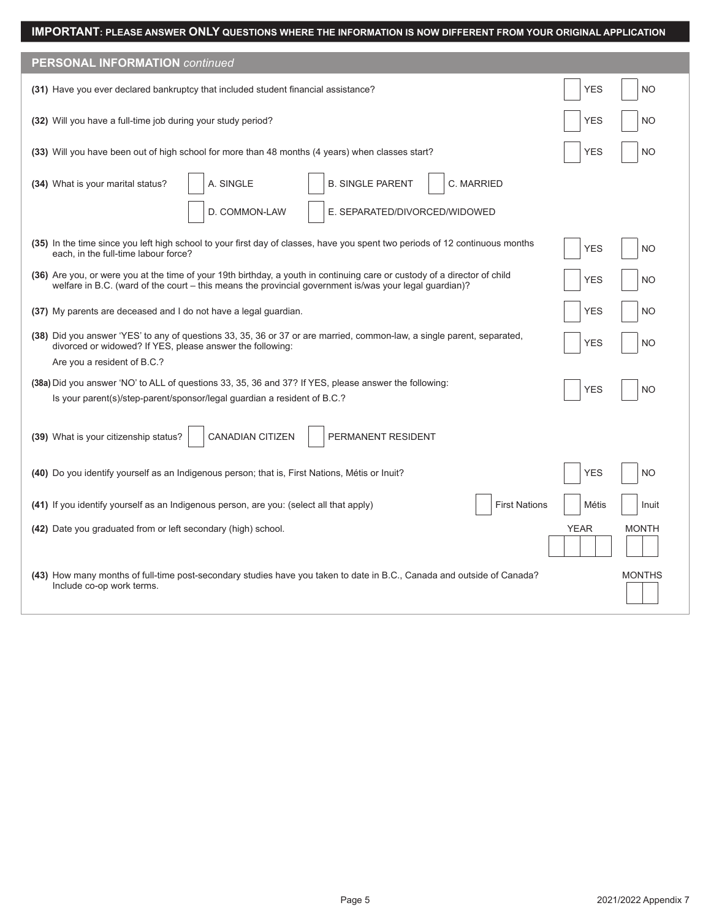| <b>PERSONAL INFORMATION continued</b>                                                                                                                                                                                               |                             |  |  |
|-------------------------------------------------------------------------------------------------------------------------------------------------------------------------------------------------------------------------------------|-----------------------------|--|--|
| (31) Have you ever declared bankruptcy that included student financial assistance?                                                                                                                                                  | <b>YES</b><br><b>NO</b>     |  |  |
| (32) Will you have a full-time job during your study period?                                                                                                                                                                        | <b>YES</b><br><b>NO</b>     |  |  |
| (33) Will you have been out of high school for more than 48 months (4 years) when classes start?                                                                                                                                    | <b>YES</b><br><b>NO</b>     |  |  |
| <b>B. SINGLE PARENT</b><br>A. SINGLE<br><b>C. MARRIED</b><br>(34) What is your marital status?                                                                                                                                      |                             |  |  |
| D. COMMON-LAW<br>E. SEPARATED/DIVORCED/WIDOWED                                                                                                                                                                                      |                             |  |  |
| (35) In the time since you left high school to your first day of classes, have you spent two periods of 12 continuous months<br>each, in the full-time labour force?                                                                | <b>YES</b><br><b>NO</b>     |  |  |
| (36) Are you, or were you at the time of your 19th birthday, a youth in continuing care or custody of a director of child<br>welfare in B.C. (ward of the court – this means the provincial government is/was your legal guardian)? | <b>YES</b><br><b>NO</b>     |  |  |
| (37) My parents are deceased and I do not have a legal guardian.                                                                                                                                                                    | <b>YES</b><br><b>NO</b>     |  |  |
| (38) Did you answer 'YES' to any of questions 33, 35, 36 or 37 or are married, common-law, a single parent, separated,<br>divorced or widowed? If YES, please answer the following:                                                 | <b>YES</b><br><b>NO</b>     |  |  |
| Are you a resident of B.C.?                                                                                                                                                                                                         |                             |  |  |
| (38a) Did you answer 'NO' to ALL of questions 33, 35, 36 and 37? If YES, please answer the following:                                                                                                                               | <b>YES</b><br><b>NO</b>     |  |  |
| Is your parent(s)/step-parent/sponsor/legal guardian a resident of B.C.?                                                                                                                                                            |                             |  |  |
| <b>CANADIAN CITIZEN</b><br>(39) What is your citizenship status?<br>PERMANENT RESIDENT                                                                                                                                              |                             |  |  |
| (40) Do you identify yourself as an Indigenous person; that is, First Nations, Métis or Inuit?                                                                                                                                      | <b>YES</b><br><b>NO</b>     |  |  |
| <b>First Nations</b><br>(41) If you identify yourself as an Indigenous person, are you: (select all that apply)                                                                                                                     | Métis<br>Inuit              |  |  |
| (42) Date you graduated from or left secondary (high) school.                                                                                                                                                                       | <b>YEAR</b><br><b>MONTH</b> |  |  |
| (43) How many months of full-time post-secondary studies have you taken to date in B.C., Canada and outside of Canada?<br>Include co-op work terms.                                                                                 | <b>MONTHS</b>               |  |  |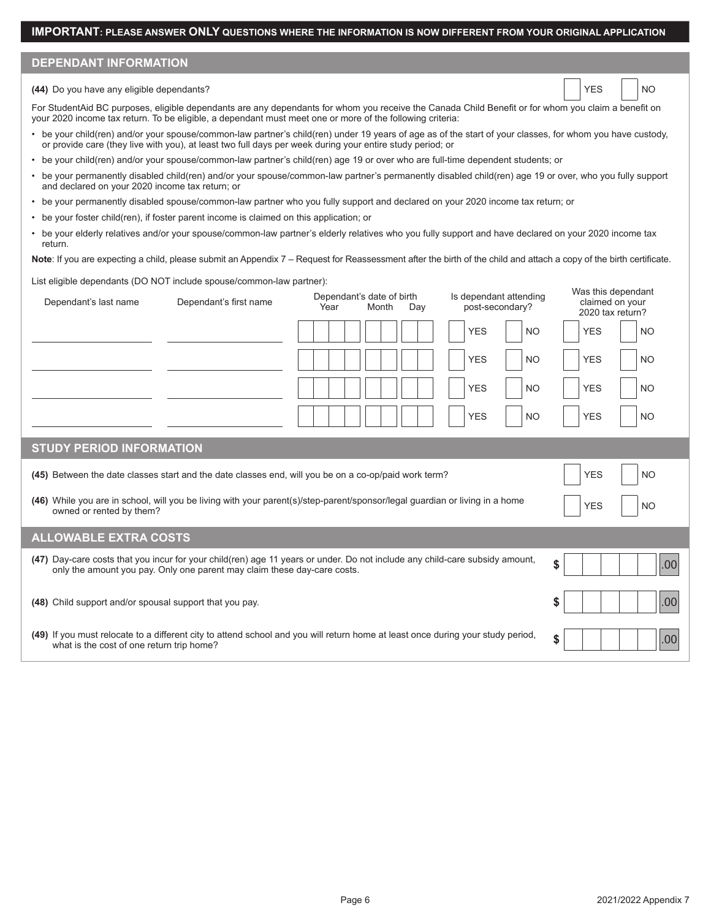## **DEPENDANT INFORMATION**

#### **(44)** Do you have any eligible dependants? No example of the state of the state of the state of the state of the state of the state of the state of the state of the state of the state of the state of the state of the stat

For StudentAid BC purposes, eligible dependants are any dependants for whom you receive the Canada Child Benefit or for whom you claim a benefit on your 2020 income tax return. To be eligible, a dependant must meet one or more of the following criteria:

- be your child(ren) and/or your spouse/common-law partner's child(ren) under 19 years of age as of the start of your classes, for whom you have custody, or provide care (they live with you), at least two full days per week during your entire study period; or
- be your child(ren) and/or your spouse/common-law partner's child(ren) age 19 or over who are full-time dependent students; or
- be your permanently disabled child(ren) and/or your spouse/common-law partner's permanently disabled child(ren) age 19 or over, who you fully support and declared on your 2020 income tax return; or
- be your permanently disabled spouse/common-law partner who you fully support and declared on your 2020 income tax return; or
- be your foster child(ren), if foster parent income is claimed on this application; or
- be your elderly relatives and/or your spouse/common-law partner's elderly relatives who you fully support and have declared on your 2020 income tax return.

Note: If you are expecting a child, please submit an Appendix 7 – Request for Reassessment after the birth of the child and attach a copy of the birth certificate.

List eligible dependants (DO NOT include spouse/common-law partner):

| Dependant's last name                                                                                                                                                              | Dependant's first name                                                   | Dependant's date of birth<br>Year<br>Month<br>Day                                                                               | Is dependant attending<br>post-secondary? | Was this dependant<br>claimed on your<br>2020 tax return? |  |
|------------------------------------------------------------------------------------------------------------------------------------------------------------------------------------|--------------------------------------------------------------------------|---------------------------------------------------------------------------------------------------------------------------------|-------------------------------------------|-----------------------------------------------------------|--|
|                                                                                                                                                                                    |                                                                          |                                                                                                                                 | <b>YES</b><br><b>NO</b>                   | <b>YES</b><br><b>NO</b>                                   |  |
|                                                                                                                                                                                    |                                                                          |                                                                                                                                 | <b>YES</b><br><b>NO</b>                   | <b>YES</b><br><b>NO</b>                                   |  |
|                                                                                                                                                                                    |                                                                          |                                                                                                                                 | <b>YES</b><br><b>NO</b>                   | <b>YES</b><br><b>NO</b>                                   |  |
|                                                                                                                                                                                    |                                                                          |                                                                                                                                 | <b>YES</b><br><b>NO</b>                   | <b>YES</b><br><b>NO</b>                                   |  |
| <b>STUDY PERIOD INFORMATION</b>                                                                                                                                                    |                                                                          |                                                                                                                                 |                                           |                                                           |  |
| <b>YES</b><br>(45) Between the date classes start and the date classes end, will you be on a co-op/paid work term?<br><b>NO</b>                                                    |                                                                          |                                                                                                                                 |                                           |                                                           |  |
| (46) While you are in school, will you be living with your parent(s)/step-parent/sponsor/legal guardian or living in a home<br><b>YES</b><br><b>NO</b><br>owned or rented by them? |                                                                          |                                                                                                                                 |                                           |                                                           |  |
| <b>ALLOWABLE EXTRA COSTS</b>                                                                                                                                                       |                                                                          |                                                                                                                                 |                                           |                                                           |  |
|                                                                                                                                                                                    | only the amount you pay. Only one parent may claim these day-care costs. | (47) Day-care costs that you incur for your child(ren) age 11 years or under. Do not include any child-care subsidy amount,     |                                           | \$<br>.00 <sub>1</sub>                                    |  |
| (48) Child support and/or spousal support that you pay.                                                                                                                            |                                                                          |                                                                                                                                 |                                           | \$<br>.00 <sub>1</sub>                                    |  |
| what is the cost of one return trip home?                                                                                                                                          |                                                                          | (49) If you must relocate to a different city to attend school and you will return home at least once during your study period. |                                           | \$<br>.00                                                 |  |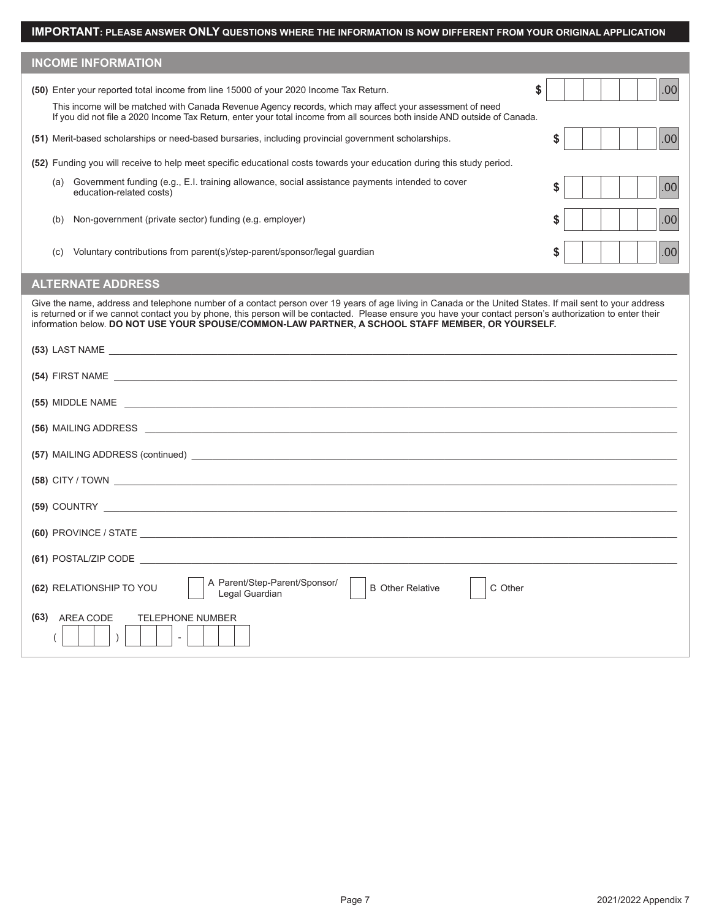| <b>INCOME INFORMATION</b>                                                                                                                                                                                                                                                                                                                                                                                                   |           |  |  |
|-----------------------------------------------------------------------------------------------------------------------------------------------------------------------------------------------------------------------------------------------------------------------------------------------------------------------------------------------------------------------------------------------------------------------------|-----------|--|--|
| (50) Enter your reported total income from line 15000 of your 2020 Income Tax Return.                                                                                                                                                                                                                                                                                                                                       | \$<br>.00 |  |  |
| This income will be matched with Canada Revenue Agency records, which may affect your assessment of need<br>If you did not file a 2020 Income Tax Return, enter your total income from all sources both inside AND outside of Canada.                                                                                                                                                                                       |           |  |  |
| (51) Merit-based scholarships or need-based bursaries, including provincial government scholarships.                                                                                                                                                                                                                                                                                                                        | .00<br>\$ |  |  |
| (52) Funding you will receive to help meet specific educational costs towards your education during this study period.                                                                                                                                                                                                                                                                                                      |           |  |  |
| Government funding (e.g., E.I. training allowance, social assistance payments intended to cover<br>(a)<br>education-related costs)                                                                                                                                                                                                                                                                                          | .00<br>\$ |  |  |
| Non-government (private sector) funding (e.g. employer)<br>(b)                                                                                                                                                                                                                                                                                                                                                              | \$<br>.00 |  |  |
| Voluntary contributions from parent(s)/step-parent/sponsor/legal guardian<br>(C)                                                                                                                                                                                                                                                                                                                                            | .00<br>\$ |  |  |
| <b>ALTERNATE ADDRESS</b>                                                                                                                                                                                                                                                                                                                                                                                                    |           |  |  |
| Give the name, address and telephone number of a contact person over 19 years of age living in Canada or the United States. If mail sent to your address<br>is returned or if we cannot contact you by phone, this person will be contacted. Please ensure you have your contact person's authorization to enter their<br>information below. DO NOT USE YOUR SPOUSE/COMMON-LAW PARTNER, A SCHOOL STAFF MEMBER, OR YOURSELF. |           |  |  |
|                                                                                                                                                                                                                                                                                                                                                                                                                             |           |  |  |
|                                                                                                                                                                                                                                                                                                                                                                                                                             |           |  |  |
| (55) MIDDLE NAME The contract of the contract of the contract of the contract of the contract of the contract of the contract of the contract of the contract of the contract of the contract of the contract of the contract                                                                                                                                                                                               |           |  |  |
|                                                                                                                                                                                                                                                                                                                                                                                                                             |           |  |  |
|                                                                                                                                                                                                                                                                                                                                                                                                                             |           |  |  |
|                                                                                                                                                                                                                                                                                                                                                                                                                             |           |  |  |
| (59) COUNTRY                                                                                                                                                                                                                                                                                                                                                                                                                |           |  |  |

**(60)** PROVINCE / STATE \_\_\_\_\_\_\_\_\_\_\_\_\_\_\_\_\_\_\_\_\_\_\_\_\_\_\_\_\_\_\_\_\_\_\_\_\_\_\_\_\_\_\_\_\_\_\_\_\_\_\_\_\_\_\_\_\_\_\_\_\_\_\_\_\_\_\_\_\_\_\_\_\_\_\_\_\_\_\_\_\_\_\_\_\_\_\_\_\_\_\_\_\_\_\_\_\_\_\_\_\_\_\_\_

**(62)** RELATIONSHIP TO YOU **A** Parent/Step-Parent/Sponsor/ B Other Relative C Other

**(61)** POSTAL/ZIP CODE \_\_\_\_\_\_\_\_\_\_\_\_\_\_\_\_\_\_\_\_\_\_\_\_\_\_\_\_\_\_\_\_\_\_\_\_\_\_\_\_\_\_\_\_\_\_\_\_\_\_\_\_\_\_\_\_\_\_\_\_\_\_\_\_\_\_\_\_\_\_\_\_\_\_\_\_\_\_\_\_\_\_\_\_\_\_\_\_\_\_\_\_\_\_\_\_\_\_\_\_\_\_\_\_

**(63)** AREA CODE TELEPHONE NUMBER

( ) -